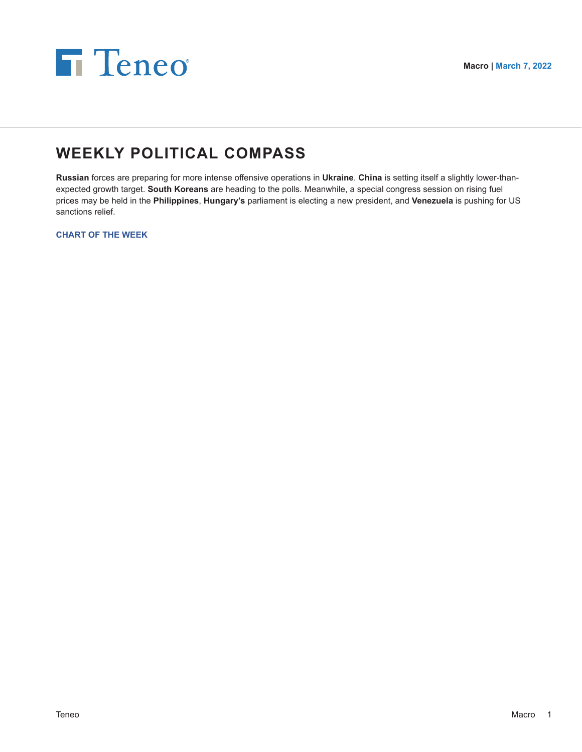



# **WEEKLY POLITICAL COMPASS**

**Russian** forces are preparing for more intense offensive operations in **Ukraine**. **China** is setting itself a slightly lower-thanexpected growth target. **South Koreans** are heading to the polls. Meanwhile, a special congress session on rising fuel prices may be held in the **Philippines**, **Hungary's** parliament is electing a new president, and **Venezuela** is pushing for US sanctions relief.

**CHART OF THE WEEK**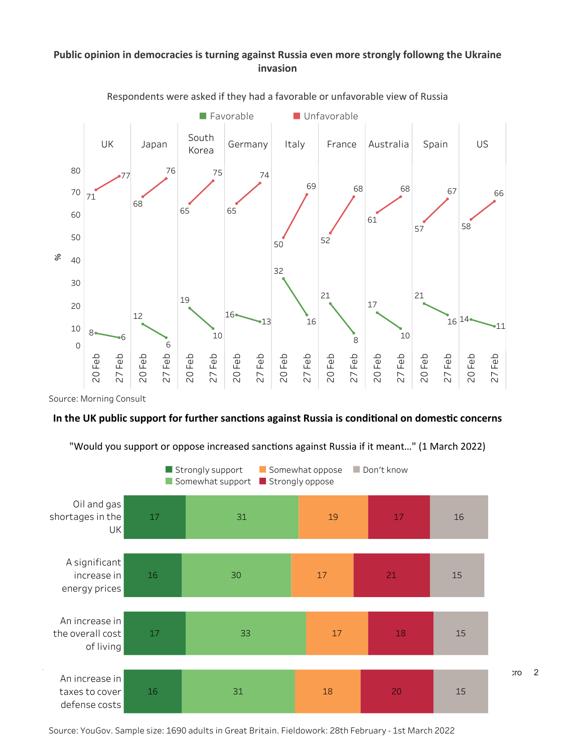# Public opinion in democracies is turning against Russia even more strongly followng the Ukraine invasion



Respondents were asked if they had a favorable or unfavorable view of Russia

# In the UK public support for further sanctions against Russia is conditional on domestic concerns



"Would you support or oppose increased sanctions against Russia if it meant..." (1 March 2022)

Source: YouGov. Sample size: 1690 adults in Great Britain. Fieldowork: 28th February - 1st March 2022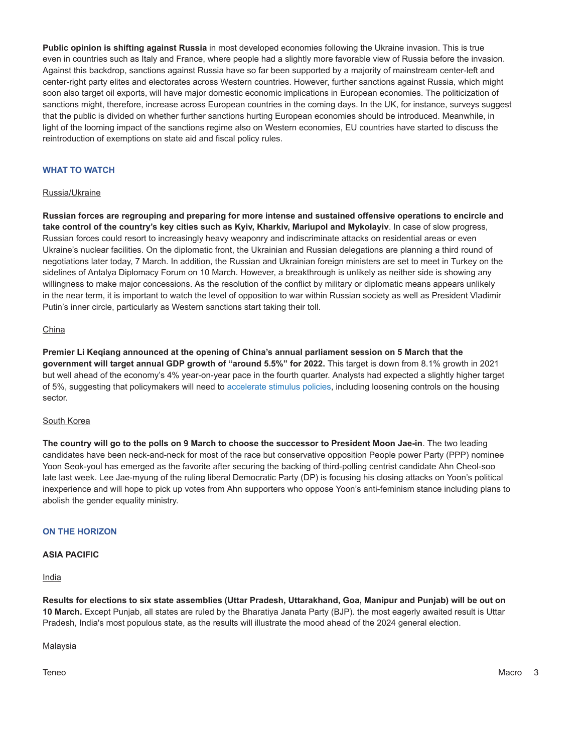**Public opinion is shifting against Russia** in most developed economies following the Ukraine invasion. This is true even in countries such as Italy and France, where people had a slightly more favorable view of Russia before the invasion. Against this backdrop, sanctions against Russia have so far been supported by a majority of mainstream center-left and center-right party elites and electorates across Western countries. However, further sanctions against Russia, which might soon also target oil exports, will have major domestic economic implications in European economies. The politicization of sanctions might, therefore, increase across European countries in the coming days. In the UK, for instance, surveys suggest that the public is divided on whether further sanctions hurting European economies should be introduced. Meanwhile, in light of the looming impact of the sanctions regime also on Western economies, EU countries have started to discuss the reintroduction of exemptions on state aid and fiscal policy rules.

#### **WHAT TO WATCH**

#### Russia/Ukraine

**Russian forces are regrouping and preparing for more intense and sustained offensive operations to encircle and take control of the country's key cities such as Kyiv, Kharkiv, Mariupol and Mykolayiv**. In case of slow progress, Russian forces could resort to increasingly heavy weaponry and indiscriminate attacks on residential areas or even Ukraine's nuclear facilities. On the diplomatic front, the Ukrainian and Russian delegations are planning a third round of negotiations later today, 7 March. In addition, the Russian and Ukrainian foreign ministers are set to meet in Turkey on the sidelines of Antalya Diplomacy Forum on 10 March. However, a breakthrough is unlikely as neither side is showing any willingness to make major concessions. As the resolution of the conflict by military or diplomatic means appears unlikely in the near term, it is important to watch the level of opposition to war within Russian society as well as President Vladimir Putin's inner circle, particularly as Western sanctions start taking their toll.

#### China

**Premier Li Keqiang announced at the opening of China's annual parliament session on 5 March that the government will target annual GDP growth of "around 5.5%" for 2022.** This target is down from 8.1% growth in 2021 but well ahead of the economy's 4% year-on-year pace in the fourth quarter. Analysts had expected a slightly higher target of 5%, suggesting that policymakers will need to [accelerate stimulus policies](https://teneointel.bluematrix.com/sellside/EmailDocViewer?encrypt=3e4612b8-5fae-4c1c-abb3-6dd81f5e7738&mime=pdf&co=teneointel&id=gabriel.wildau@teneo.com&source=libraryView&htmlToPdf=true), including loosening controls on the housing sector.

#### South Korea

**The country will go to the polls on 9 March to choose the successor to President Moon Jae-in**. The two leading candidates have been neck-and-neck for most of the race but conservative opposition People power Party (PPP) nominee Yoon Seok-youl has emerged as the favorite after securing the backing of third-polling centrist candidate Ahn Cheol-soo late last week. Lee Jae-myung of the ruling liberal Democratic Party (DP) is focusing his closing attacks on Yoon's political inexperience and will hope to pick up votes from Ahn supporters who oppose Yoon's anti-feminism stance including plans to abolish the gender equality ministry.

#### **ON THE HORIZON**

#### **ASIA PACIFIC**

India

**Results for elections to six state assemblies (Uttar Pradesh, Uttarakhand, Goa, Manipur and Punjab) will be out on 10 March.** Except Punjab, all states are ruled by the Bharatiya Janata Party (BJP). the most eagerly awaited result is Uttar Pradesh, India's most populous state, as the results will illustrate the mood ahead of the 2024 general election.

Malaysia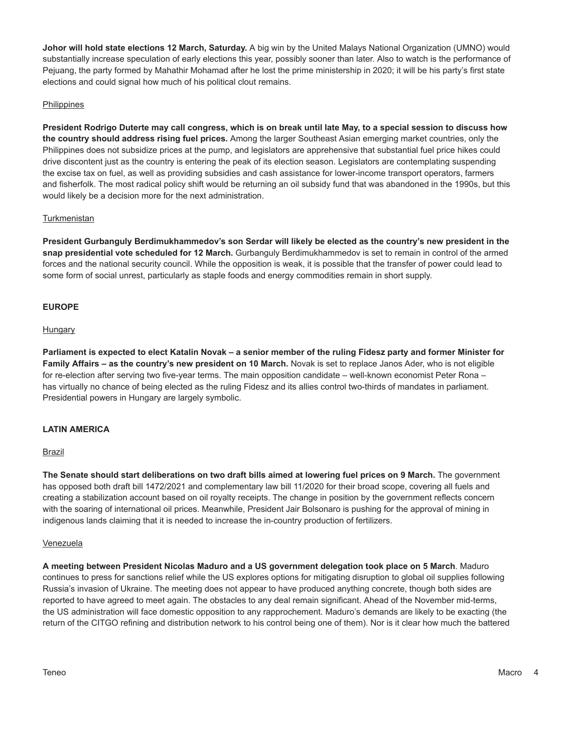**Johor will hold state elections 12 March, Saturday.** A big win by the United Malays National Organization (UMNO) would substantially increase speculation of early elections this year, possibly sooner than later. Also to watch is the performance of Pejuang, the party formed by Mahathir Mohamad after he lost the prime ministership in 2020; it will be his party's first state elections and could signal how much of his political clout remains.

#### Philippines

**President Rodrigo Duterte may call congress, which is on break until late May, to a special session to discuss how the country should address rising fuel prices.** Among the larger Southeast Asian emerging market countries, only the Philippines does not subsidize prices at the pump, and legislators are apprehensive that substantial fuel price hikes could drive discontent just as the country is entering the peak of its election season. Legislators are contemplating suspending the excise tax on fuel, as well as providing subsidies and cash assistance for lower-income transport operators, farmers and fisherfolk. The most radical policy shift would be returning an oil subsidy fund that was abandoned in the 1990s, but this would likely be a decision more for the next administration.

#### **Turkmenistan**

**President Gurbanguly Berdimukhammedov's son Serdar will likely be elected as the country's new president in the snap presidential vote scheduled for 12 March.** Gurbanguly Berdimukhammedov is set to remain in control of the armed forces and the national security council. While the opposition is weak, it is possible that the transfer of power could lead to some form of social unrest, particularly as staple foods and energy commodities remain in short supply.

## **EUROPE**

#### **Hungary**

**Parliament is expected to elect Katalin Novak – a senior member of the ruling Fidesz party and former Minister for Family Affairs – as the country's new president on 10 March.** Novak is set to replace Janos Ader, who is not eligible for re-election after serving two five-year terms. The main opposition candidate – well-known economist Peter Rona – has virtually no chance of being elected as the ruling Fidesz and its allies control two-thirds of mandates in parliament. Presidential powers in Hungary are largely symbolic.

## **LATIN AMERICA**

## Brazil

**The Senate should start deliberations on two draft bills aimed at lowering fuel prices on 9 March.** The government has opposed both draft bill 1472/2021 and complementary law bill 11/2020 for their broad scope, covering all fuels and creating a stabilization account based on oil royalty receipts. The change in position by the government reflects concern with the soaring of international oil prices. Meanwhile, President Jair Bolsonaro is pushing for the approval of mining in indigenous lands claiming that it is needed to increase the in-country production of fertilizers.

#### Venezuela

**A meeting between President Nicolas Maduro and a US government delegation took place on 5 March**. Maduro continues to press for sanctions relief while the US explores options for mitigating disruption to global oil supplies following Russia's invasion of Ukraine. The meeting does not appear to have produced anything concrete, though both sides are reported to have agreed to meet again. The obstacles to any deal remain significant. Ahead of the November mid-terms, the US administration will face domestic opposition to any rapprochement. Maduro's demands are likely to be exacting (the return of the CITGO refining and distribution network to his control being one of them). Nor is it clear how much the battered